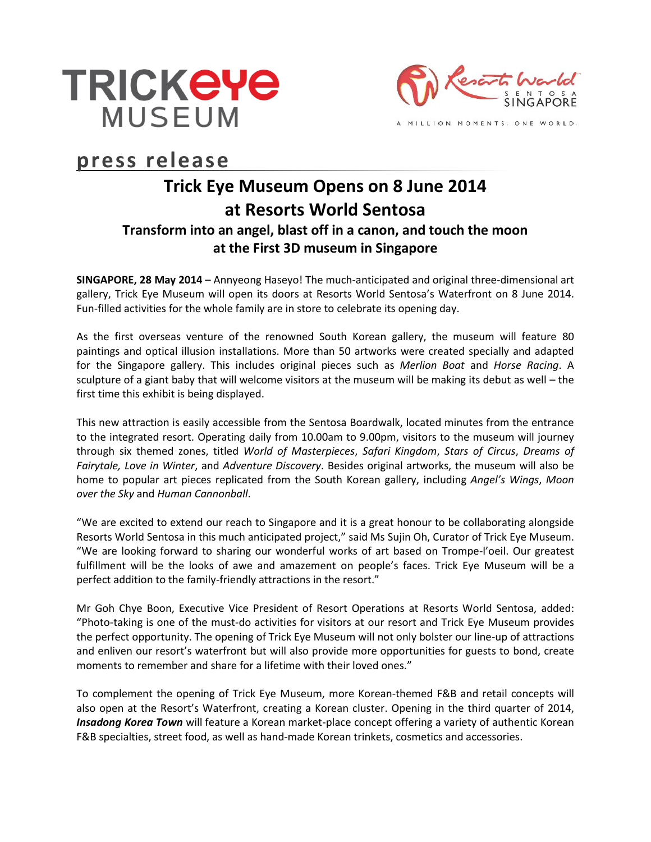



MILLION MOMENTS. ONE WORLD.

# **press release**

# **Trick Eye Museum Opens on 8 June 2014 at Resorts World Sentosa Transform into an angel, blast off in a canon, and touch the moon at the First 3D museum in Singapore**

**SINGAPORE, 28 May 2014** – Annyeong Haseyo! The much-anticipated and original three-dimensional art gallery, Trick Eye Museum will open its doors at Resorts World Sentosa's Waterfront on 8 June 2014. Fun-filled activities for the whole family are in store to celebrate its opening day.

As the first overseas venture of the renowned South Korean gallery, the museum will feature 80 paintings and optical illusion installations. More than 50 artworks were created specially and adapted for the Singapore gallery. This includes original pieces such as *Merlion Boat* and *Horse Racing*. A sculpture of a giant baby that will welcome visitors at the museum will be making its debut as well – the first time this exhibit is being displayed.

This new attraction is easily accessible from the Sentosa Boardwalk, located minutes from the entrance to the integrated resort. Operating daily from 10.00am to 9.00pm, visitors to the museum will journey through six themed zones, titled *World of Masterpieces*, *Safari Kingdom*, *Stars of Circus*, *Dreams of Fairytale, Love in Winter*, and *Adventure Discovery*. Besides original artworks, the museum will also be home to popular art pieces replicated from the South Korean gallery, including *Angel's Wings*, *Moon over the Sky* and *Human Cannonball*.

"We are excited to extend our reach to Singapore and it is a great honour to be collaborating alongside Resorts World Sentosa in this much anticipated project," said Ms Sujin Oh, Curator of Trick Eye Museum. "We are looking forward to sharing our wonderful works of art based on Trompe-l'oeil. Our greatest fulfillment will be the looks of awe and amazement on people's faces. Trick Eye Museum will be a perfect addition to the family-friendly attractions in the resort."

Mr Goh Chye Boon, Executive Vice President of Resort Operations at Resorts World Sentosa, added: "Photo-taking is one of the must-do activities for visitors at our resort and Trick Eye Museum provides the perfect opportunity. The opening of Trick Eye Museum will not only bolster our line-up of attractions and enliven our resort's waterfront but will also provide more opportunities for guests to bond, create moments to remember and share for a lifetime with their loved ones."

To complement the opening of Trick Eye Museum, more Korean-themed F&B and retail concepts will also open at the Resort's Waterfront, creating a Korean cluster. Opening in the third quarter of 2014, *Insadong Korea Town* will feature a Korean market-place concept offering a variety of authentic Korean F&B specialties, street food, as well as hand-made Korean trinkets, cosmetics and accessories.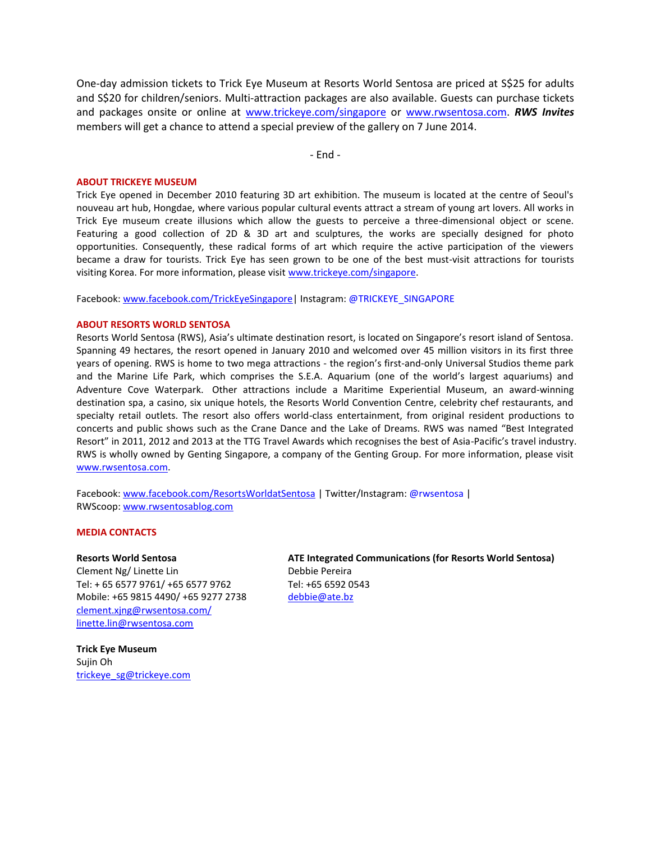One-day admission tickets to Trick Eye Museum at Resorts World Sentosa are priced at S\$25 for adults and S\$20 for children/seniors. Multi-attraction packages are also available. Guests can purchase tickets and packages onsite or online at [www.trickeye.com/singapore](http://www.trickeye.com/singapore) or [www.rwsentosa.com.](http://www.rwsentosa.com/) *RWS Invites*  members will get a chance to attend a special preview of the gallery on 7 June 2014.

- End -

### **ABOUT TRICKEYE MUSEUM**

Trick Eye opened in December 2010 featuring 3D art exhibition. The museum is located at the centre of Seoul's nouveau art hub, Hongdae, where various popular cultural events attract a stream of young art lovers. All works in Trick Eye museum create illusions which allow the guests to perceive a three-dimensional object or scene. Featuring a good collection of 2D & 3D art and sculptures, the works are specially designed for photo opportunities. Consequently, these radical forms of art which require the active participation of the viewers became a draw for tourists. Trick Eye has seen grown to be one of the best must-visit attractions for tourists visiting Korea. For more information, please visit [www.trickeye.com/singapore.](http://www.trickeye.com/singapore)

Facebook: [www.facebook.com/TrickEyeSingapore|](http://www.facebook.com/TrickEyeSingapore) Instagram: @TRICKEYE\_SINGAPORE

## **ABOUT RESORTS WORLD SENTOSA**

Resorts World Sentosa (RWS), Asia's ultimate destination resort, is located on Singapore's resort island of Sentosa. Spanning 49 hectares, the resort opened in January 2010 and welcomed over 45 million visitors in its first three years of opening. RWS is home to two mega attractions - the region's first-and-only Universal Studios theme park and the Marine Life Park, which comprises the S.E.A. Aquarium (one of the world's largest aquariums) and Adventure Cove Waterpark. Other attractions include a Maritime Experiential Museum, an award-winning destination spa, a casino, six unique hotels, the Resorts World Convention Centre, celebrity chef restaurants, and specialty retail outlets. The resort also offers world-class entertainment, from original resident productions to concerts and public shows such as the Crane Dance and the Lake of Dreams. RWS was named "Best Integrated Resort" in 2011, 2012 and 2013 at the TTG Travel Awards which recognises the best of Asia-Pacific's travel industry. RWS is wholly owned by Genting Singapore, a company of the Genting Group. For more information, please visit [www.rwsentosa.com.](http://www.rwsentosa.com/)

Facebook: [www.facebook.com/ResortsWorldatSentosa](http://www.facebook.com/ResortsWorldatSentosa) | Twitter/Instagram: @rwsentosa | RWScoop: [www.rwsentosablog.com](http://www.rwsentosablog.com/)

#### **MEDIA CONTACTS**

#### **Resorts World Sentosa**

Clement Ng/ Linette Lin Tel: + 65 6577 9761/ +65 6577 9762 Mobile: +65 9815 4490/ +65 9277 2738 [clement.xjng@rwsentosa.com/](mailto:clement.xjng@rwsentosa.com/) linette.lin@rwsentosa.com

**Trick Eye Museum**  Sujin Oh [trickeye\\_sg@trickeye.com](mailto:trickeye_sg@trickeye.com) **ATE Integrated Communications (for Resorts World Sentosa)** Debbie Pereira Tel: +65 6592 0543 [debbie@ate.bz](mailto:debbie@ate.bz)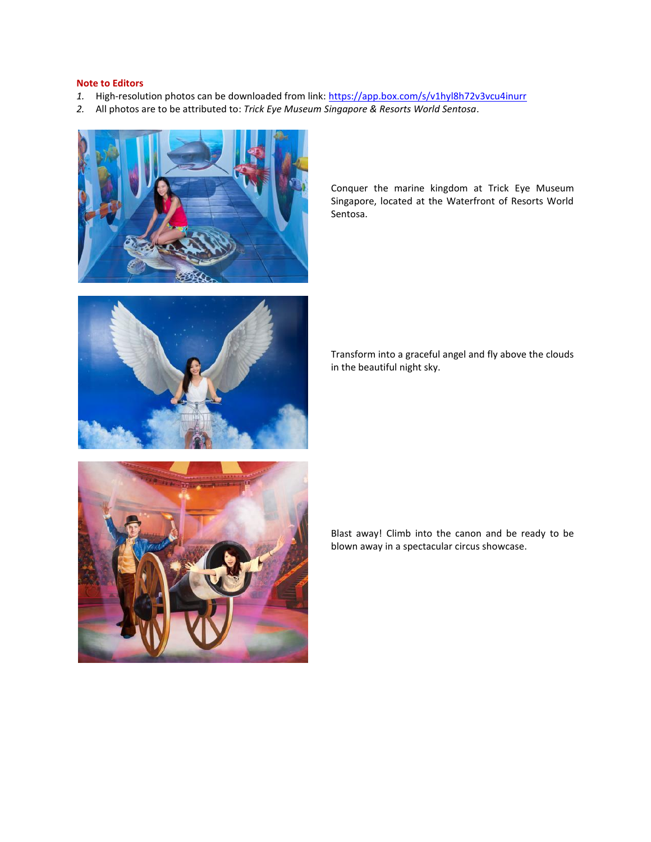# **Note to Editors**

- *1.* High-resolution photos can be downloaded from link:<https://app.box.com/s/v1hyl8h72v3vcu4inurr>
- *2.* All photos are to be attributed to: *Trick Eye Museum Singapore & Resorts World Sentosa*.





Conquer the marine kingdom at Trick Eye Museum Singapore, located at the Waterfront of Resorts World Sentosa.

Transform into a graceful angel and fly above the clouds in the beautiful night sky.



Blast away! Climb into the canon and be ready to be blown away in a spectacular circus showcase.